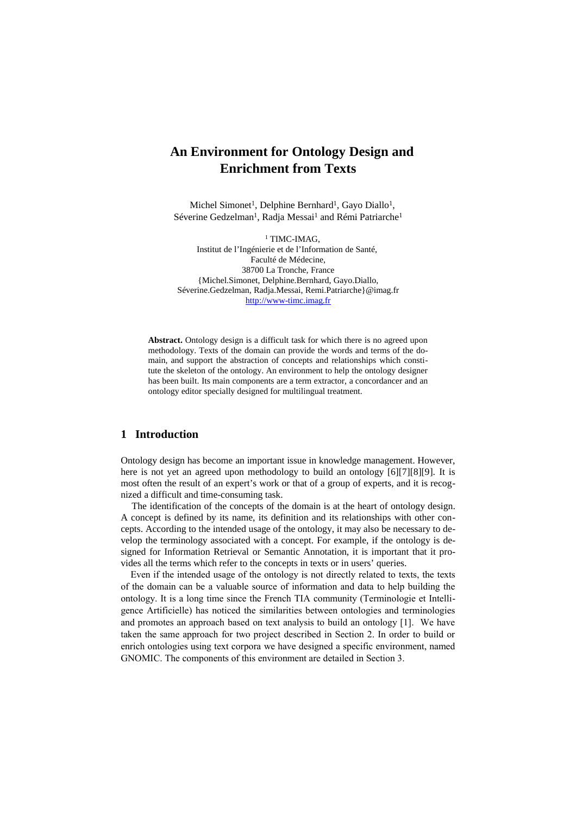# **An Environment for Ontology Design and Enrichment from Texts**

Michel Simonet<sup>1</sup>, Delphine Bernhard<sup>1</sup>, Gayo Diallo<sup>1</sup>, Séverine Gedzelman<sup>1</sup>, Radja Messai<sup>1</sup> and Rémi Patriarche<sup>1</sup>

<sup>1</sup> TIMC-IMAG, Institut de l'Ingénierie et de l'Information de Santé, Faculté de Médecine, 38700 La Tronche, France {Michel.Simonet, Delphine.Bernhard, Gayo.Diallo, Séverine.Gedzelman, Radja.Messai, Remi.Patriarche}@imag.fr [http://www-timc.imag.fr](http://www-timc.imag.fr/)

**Abstract.** Ontology design is a difficult task for which there is no agreed upon methodology. Texts of the domain can provide the words and terms of the domain, and support the abstraction of concepts and relationships which constitute the skeleton of the ontology. An environment to help the ontology designer has been built. Its main components are a term extractor, a concordancer and an ontology editor specially designed for multilingual treatment.

# **1 Introduction**

Ontology design has become an important issue in knowledge management. However, here is not yet an agreed upon methodology to build an ontology [6][7][8][9]. It is most often the result of an expert's work or that of a group of experts, and it is recognized a difficult and time-consuming task.

The identification of the concepts of the domain is at the heart of ontology design. A concept is defined by its name, its definition and its relationships with other concepts. According to the intended usage of the ontology, it may also be necessary to develop the terminology associated with a concept. For example, if the ontology is designed for Information Retrieval or Semantic Annotation, it is important that it provides all the terms which refer to the concepts in texts or in users' queries.

Even if the intended usage of the ontology is not directly related to texts, the texts of the domain can be a valuable source of information and data to help building the ontology. It is a long time since the French TIA community (Terminologie et Intelligence Artificielle) has noticed the similarities between ontologies and terminologies and promotes an approach based on text analysis to build an ontology [1]. We have taken the same approach for two project described in Section 2. In order to build or enrich ontologies using text corpora we have designed a specific environment, named GNOMIC. The components of this environment are detailed in Section 3.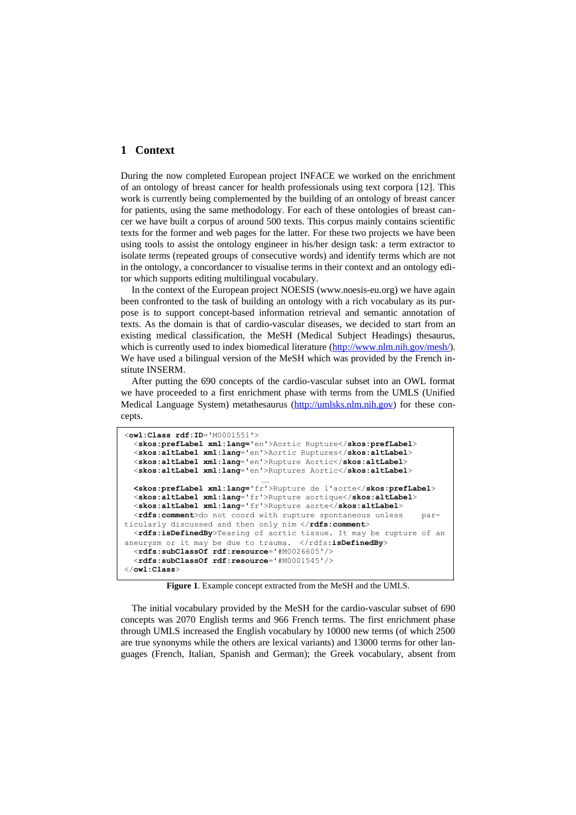# **1 Context**

During the now completed European project INFACE we worked on the enrichment of an ontology of breast cancer for health professionals using text corpora [12]. This work is currently being complemented by the building of an ontology of breast cancer for patients, using the same methodology. For each of these ontologies of breast cancer we have built a corpus of around 500 texts. This corpus mainly contains scientific texts for the former and web pages for the latter. For these two projects we have been using tools to assist the ontology engineer in his/her design task: a term extractor to isolate terms (repeated groups of consecutive words) and identify terms which are not in the ontology, a concordancer to visualise terms in their context and an ontology editor which supports editing multilingual vocabulary.

In the context of the European project NOESIS (www.noesis-eu.org) we have again been confronted to the task of building an ontology with a rich vocabulary as its purpose is to support concept-based information retrieval and semantic annotation of texts. As the domain is that of cardio-vascular diseases, we decided to start from an existing medical classification, the MeSH (Medical Subject Headings) thesaurus, which is currently used to index biomedical literature ([http://www.nlm.nih.gov/mesh/\)](http://www.nlm.nih.gov/mesh/). We have used a bilingual version of the MeSH which was provided by the French institute INSERM.

After putting the 690 concepts of the cardio-vascular subset into an OWL format we have proceeded to a first enrichment phase with terms from the UMLS (Unified Medical Language System) metathesaurus [\(http://umlsks.nlm.nih.gov](http://umlsks.nlm.nih.gov/)) for these concepts.

```
<owl:Class rdf:ID='M0001551'>
   <skos:prefLabel xml:lang='en'>Aortic Rupture</skos:prefLabel>
   <skos:altLabel xml:lang='en'>Aortic Ruptures</skos:altLabel>
   <skos:altLabel xml:lang='en'>Rupture Aortic</skos:altLabel>
   <skos:altLabel xml:lang='en'>Ruptures Aortic</skos:altLabel>
                              …
  <skos:prefLabel xml:lang='fr'>Rupture de l'aorte</skos:prefLabel>
   <skos:altLabel xml:lang='fr'>Rupture aortique</skos:altLabel>
   <skos:altLabel xml:lang='fr'>Rupture aorte</skos:altLabel>
   <rdfs:comment>do not coord with rupture spontaneous unless par-
ticularly discussed and then only nim </rdfs:comment>
   <rdfs:isDefinedBy>Tearing of aortic tissue. It may be rupture of an
aneurysm or it may be due to trauma. </rdfs: isDefinedBy>
   <rdfs:subClassOf rdf:resource='#M0026605'/>
   <rdfs:subClassOf rdf:resource='#M0001545'/>
</owl:Class>
```
**Figure 1**. Example concept extracted from the MeSH and the UMLS.

The initial vocabulary provided by the MeSH for the cardio-vascular subset of 690 concepts was 2070 English terms and 966 French terms. The first enrichment phase through UMLS increased the English vocabulary by 10000 new terms (of which 2500 are true synonyms while the others are lexical variants) and 13000 terms for other languages (French, Italian, Spanish and German); the Greek vocabulary, absent from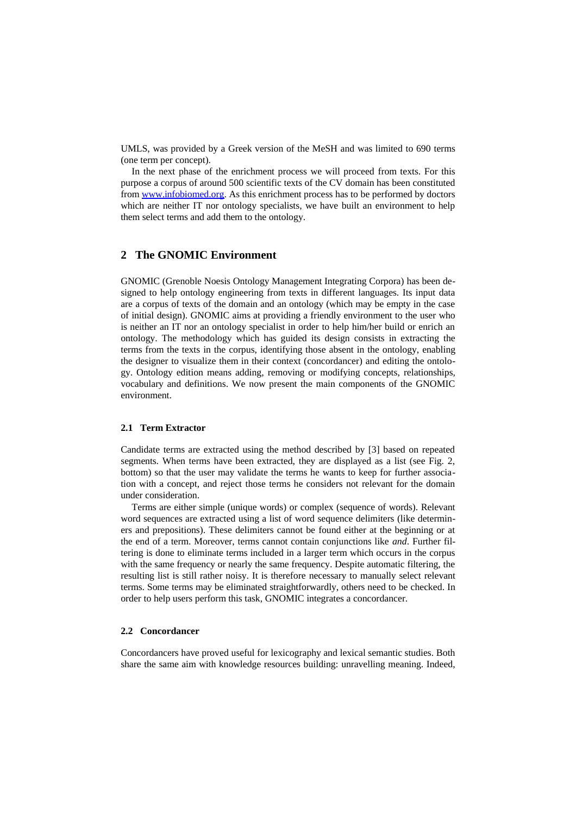UMLS, was provided by a Greek version of the MeSH and was limited to 690 terms (one term per concept).

In the next phase of the enrichment process we will proceed from texts. For this purpose a corpus of around 500 scientific texts of the CV domain has been constituted from [www.infobiomed.org.](http://www.infobiomed.org/) As this enrichment process has to be performed by doctors which are neither IT nor ontology specialists, we have built an environment to help them select terms and add them to the ontology.

# **2 The GNOMIC Environment**

GNOMIC (Grenoble Noesis Ontology Management Integrating Corpora) has been designed to help ontology engineering from texts in different languages. Its input data are a corpus of texts of the domain and an ontology (which may be empty in the case of initial design). GNOMIC aims at providing a friendly environment to the user who is neither an IT nor an ontology specialist in order to help him/her build or enrich an ontology. The methodology which has guided its design consists in extracting the terms from the texts in the corpus, identifying those absent in the ontology, enabling the designer to visualize them in their context (concordancer) and editing the ontology. Ontology edition means adding, removing or modifying concepts, relationships, vocabulary and definitions. We now present the main components of the GNOMIC environment.

# **2.1 Term Extractor**

Candidate terms are extracted using the method described by [3] based on repeated segments. When terms have been extracted, they are displayed as a list (see Fig. 2, bottom) so that the user may validate the terms he wants to keep for further association with a concept, and reject those terms he considers not relevant for the domain under consideration.

Terms are either simple (unique words) or complex (sequence of words). Relevant word sequences are extracted using a list of word sequence delimiters (like determiners and prepositions). These delimiters cannot be found either at the beginning or at the end of a term. Moreover, terms cannot contain conjunctions like *and*. Further filtering is done to eliminate terms included in a larger term which occurs in the corpus with the same frequency or nearly the same frequency. Despite automatic filtering, the resulting list is still rather noisy. It is therefore necessary to manually select relevant terms. Some terms may be eliminated straightforwardly, others need to be checked. In order to help users perform this task, GNOMIC integrates a concordancer.

## **2.2 Concordancer**

Concordancers have proved useful for lexicography and lexical semantic studies. Both share the same aim with knowledge resources building: unravelling meaning. Indeed,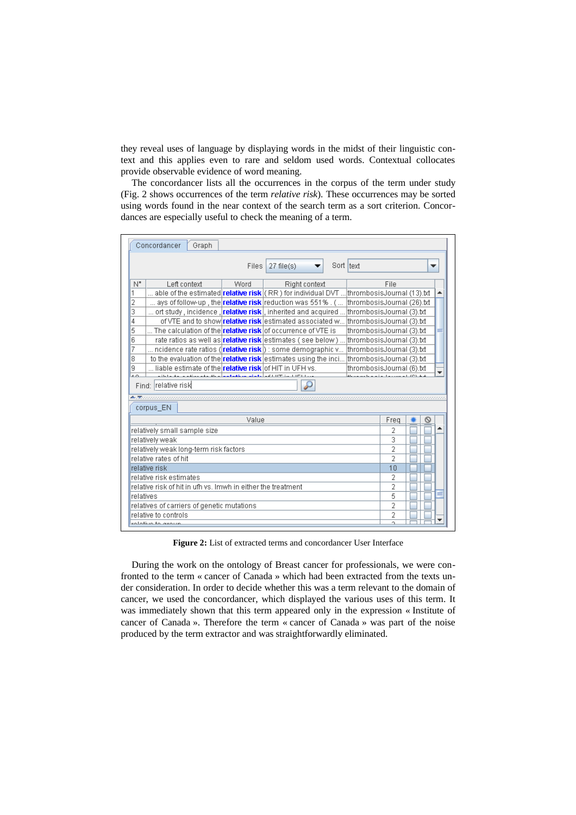they reveal uses of language by displaying words in the midst of their linguistic context and this applies even to rare and seldom used words. Contextual collocates provide observable evidence of word meaning.

The concordancer lists all the occurrences in the corpus of the term under study (Fig. 2 shows occurrences of the term *relative risk*). These occurrences may be sorted using words found in the near context of the search term as a sort criterion. Concordances are especially useful to check the meaning of a term.

| Concordancer<br>Graph                                                            |                                                                                                    |      |                                                                                   |            |                           |        |  |  |  |  |
|----------------------------------------------------------------------------------|----------------------------------------------------------------------------------------------------|------|-----------------------------------------------------------------------------------|------------|---------------------------|--------|--|--|--|--|
|                                                                                  |                                                                                                    |      | Files $27$ file(s)                                                                | Sort Itext |                           |        |  |  |  |  |
| N"                                                                               | Left context                                                                                       | Word | Right context                                                                     |            |                           | File   |  |  |  |  |
| 1                                                                                | able of the estimated <b>relative risk</b> ( RR ) for individual DVT  thrombosisJournal (13).txt   |      |                                                                                   |            |                           |        |  |  |  |  |
| 2                                                                                | ays of follow-up , the <b>relative risk</b> reduction was 551% . (                                 |      |                                                                                   |            | thrombosisJournal (26).bt |        |  |  |  |  |
| 3                                                                                | ort study , incidence , <b>relative risk</b> , inherited and acquired  thrombosisJournal (3).txt   |      |                                                                                   |            |                           |        |  |  |  |  |
| 4                                                                                |                                                                                                    |      | of VTE and to show relative risk estimated associated w thrombosisJournal (3).txt |            |                           |        |  |  |  |  |
| 5                                                                                | The calculation of theI <b>relative risk</b> lof occurrence of VTE is                              |      |                                                                                   |            | thrombosisJournal (3).txt |        |  |  |  |  |
| 6                                                                                | rate ratios as well as <b>relative risk</b> estimates (see below) thrombosis Journal (3) bt        |      |                                                                                   |            |                           |        |  |  |  |  |
| 7                                                                                | ncidence rate ratios ( <b>[relative risk</b> ]) : some demographic v                               |      |                                                                                   |            | thrombosisJournal (3).bt  |        |  |  |  |  |
| 8                                                                                | to the evaluation of the <b>relative risk</b> estimates using the inci<br>thrombosisJournal (3).bt |      |                                                                                   |            |                           |        |  |  |  |  |
| ğ                                                                                | liable estimate of the <mark>relative risk</mark> of HIT in UFH vs.<br>thrombosisJournal (6).txt   |      |                                                                                   |            |                           |        |  |  |  |  |
| $\overline{A}$                                                                   | the first state in a discussion in                                                                 |      |                                                                                   |            |                           |        |  |  |  |  |
| Find: relative risk                                                              |                                                                                                    |      |                                                                                   |            |                           |        |  |  |  |  |
| ▲天然的,我们也不能在这样的,我们也不能在这样的,我们也不能在这样的,我们也不能在这样的,我们也不能在我们的人的,我们也不能在我们的人的人,我们也不能在我们的人 |                                                                                                    |      |                                                                                   |            |                           |        |  |  |  |  |
| corpus EN                                                                        |                                                                                                    |      |                                                                                   |            |                           |        |  |  |  |  |
| Freq                                                                             |                                                                                                    |      |                                                                                   |            |                           |        |  |  |  |  |
| Value                                                                            |                                                                                                    |      |                                                                                   |            |                           |        |  |  |  |  |
| relatively small sample size                                                     |                                                                                                    |      |                                                                                   |            |                           | 2<br>3 |  |  |  |  |
| relatively weak                                                                  |                                                                                                    |      |                                                                                   |            |                           |        |  |  |  |  |
| relatively weak long-term risk factors<br>relative rates of hit                  |                                                                                                    |      |                                                                                   |            |                           | 2<br>2 |  |  |  |  |
| relative risk                                                                    |                                                                                                    |      |                                                                                   |            |                           |        |  |  |  |  |
| relative risk estimates                                                          |                                                                                                    |      |                                                                                   |            |                           | 10     |  |  |  |  |
| relative risk of hit in ufh vs. Imwh in either the treatment                     |                                                                                                    |      |                                                                                   |            |                           | 2      |  |  |  |  |
|                                                                                  |                                                                                                    |      |                                                                                   |            |                           | 2      |  |  |  |  |
| relatives                                                                        |                                                                                                    |      |                                                                                   |            |                           | 5      |  |  |  |  |
| relatives of carriers of genetic mutations<br>relative to controls               |                                                                                                    |      |                                                                                   |            |                           | 2      |  |  |  |  |
| solotius to assum                                                                |                                                                                                    |      |                                                                                   |            |                           | 2<br>o |  |  |  |  |
|                                                                                  |                                                                                                    |      |                                                                                   |            |                           |        |  |  |  |  |

**Figure 2:** List of extracted terms and concordancer User Interface

During the work on the ontology of Breast cancer for professionals, we were confronted to the term « cancer of Canada » which had been extracted from the texts under consideration. In order to decide whether this was a term relevant to the domain of cancer, we used the concordancer, which displayed the various uses of this term. It was immediately shown that this term appeared only in the expression « Institute of cancer of Canada ». Therefore the term « cancer of Canada » was part of the noise produced by the term extractor and was straightforwardly eliminated.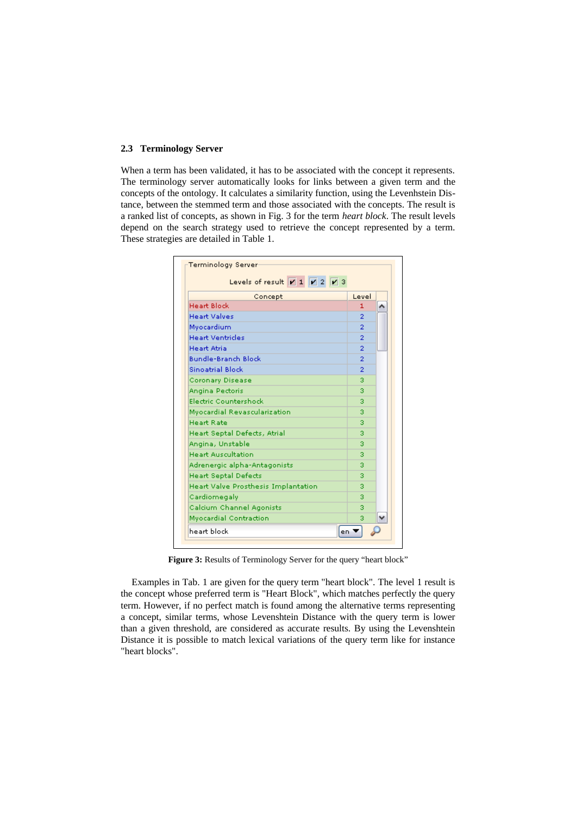#### **2.3 Terminology Server**

When a term has been validated, it has to be associated with the concept it represents. The terminology server automatically looks for links between a given term and the concepts of the ontology. It calculates a similarity function, using the Levenhstein Distance, between the stemmed term and those associated with the concepts. The result is a ranked list of concepts, as shown in Fig. 3 for the term *heart block*. The result levels depend on the search strategy used to retrieve the concept represented by a term. These strategies are detailed in Table 1.



**Figure 3:** Results of Terminology Server for the query "heart block"

Examples in Tab. 1 are given for the query term "heart block". The level 1 result is the concept whose preferred term is "Heart Block", which matches perfectly the query term. However, if no perfect match is found among the alternative terms representing a concept, similar terms, whose Levenshtein Distance with the query term is lower than a given threshold, are considered as accurate results. By using the Levenshtein Distance it is possible to match lexical variations of the query term like for instance "heart blocks".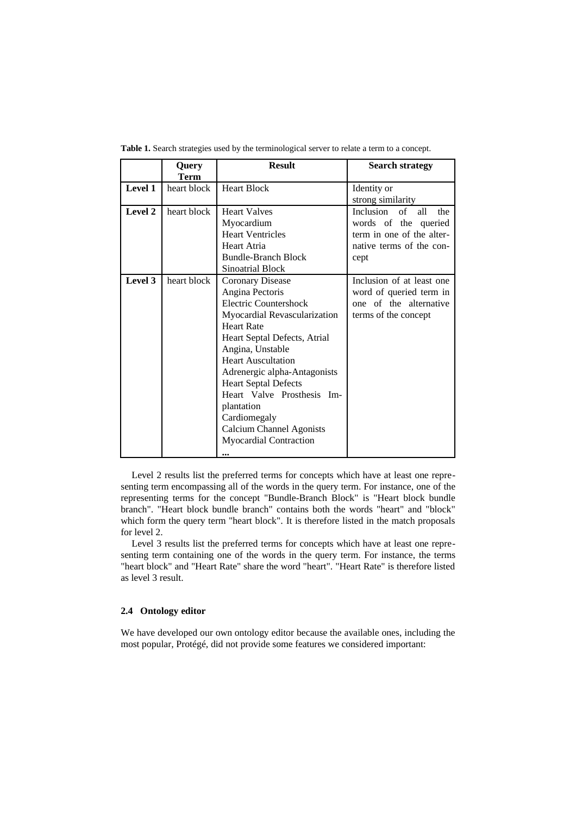|         | Query       | <b>Result</b>                   | <b>Search strategy</b>     |  |  |  |
|---------|-------------|---------------------------------|----------------------------|--|--|--|
|         | Term        |                                 |                            |  |  |  |
| Level 1 | heart block | <b>Heart Block</b>              | Identity or                |  |  |  |
|         |             |                                 | strong similarity          |  |  |  |
| Level 2 | heart block | <b>Heart Valves</b>             | Inclusion of<br>all<br>the |  |  |  |
|         |             | Myocardium                      | words of the queried       |  |  |  |
|         |             | <b>Heart Ventricles</b>         | term in one of the alter-  |  |  |  |
|         |             | Heart Atria                     | native terms of the con-   |  |  |  |
|         |             | <b>Bundle-Branch Block</b>      | cept                       |  |  |  |
|         |             | <b>Sinoatrial Block</b>         |                            |  |  |  |
| Level 3 | heart block | <b>Coronary Disease</b>         | Inclusion of at least one  |  |  |  |
|         |             | Angina Pectoris                 | word of queried term in    |  |  |  |
|         |             | Electric Countershock           | one of the alternative     |  |  |  |
|         |             | Myocardial Revascularization    | terms of the concept       |  |  |  |
|         |             | <b>Heart Rate</b>               |                            |  |  |  |
|         |             | Heart Septal Defects, Atrial    |                            |  |  |  |
|         |             | Angina, Unstable                |                            |  |  |  |
|         |             | <b>Heart Auscultation</b>       |                            |  |  |  |
|         |             | Adrenergic alpha-Antagonists    |                            |  |  |  |
|         |             | <b>Heart Septal Defects</b>     |                            |  |  |  |
|         |             | Heart Valve Prosthesis Im-      |                            |  |  |  |
|         |             | plantation                      |                            |  |  |  |
|         |             | Cardiomegaly                    |                            |  |  |  |
|         |             | <b>Calcium Channel Agonists</b> |                            |  |  |  |
|         |             | <b>Myocardial Contraction</b>   |                            |  |  |  |
|         |             |                                 |                            |  |  |  |

**Table 1.** Search strategies used by the terminological server to relate a term to a concept.

Level 2 results list the preferred terms for concepts which have at least one representing term encompassing all of the words in the query term. For instance, one of the representing terms for the concept "Bundle-Branch Block" is "Heart block bundle branch". "Heart block bundle branch" contains both the words "heart" and "block" which form the query term "heart block". It is therefore listed in the match proposals for level 2.

Level 3 results list the preferred terms for concepts which have at least one representing term containing one of the words in the query term. For instance, the terms "heart block" and "Heart Rate" share the word "heart". "Heart Rate" is therefore listed as level 3 result.

## **2.4 Ontology editor**

We have developed our own ontology editor because the available ones, including the most popular, Protégé, did not provide some features we considered important: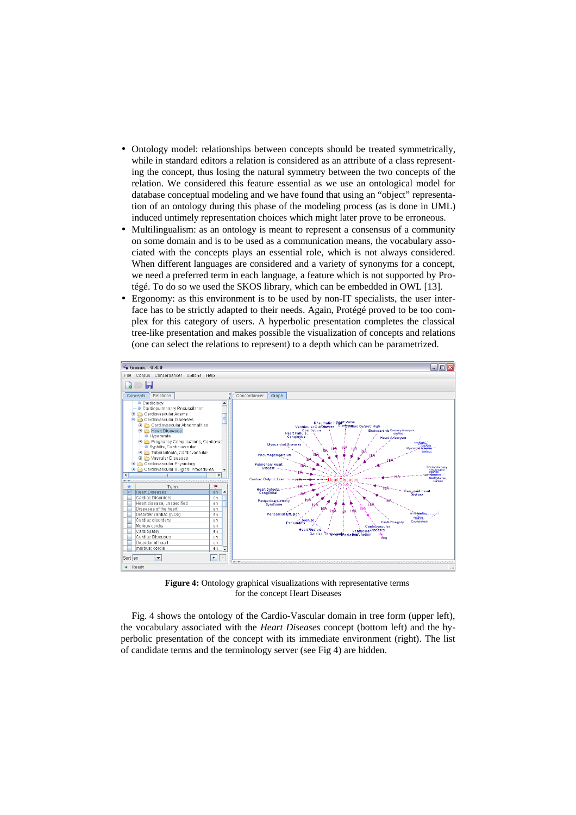- Ontology model: relationships between concepts should be treated symmetrically, while in standard editors a relation is considered as an attribute of a class representing the concept, thus losing the natural symmetry between the two concepts of the relation. We considered this feature essential as we use an ontological model for database conceptual modeling and we have found that using an "object" representation of an ontology during this phase of the modeling process (as is done in UML) induced untimely representation choices which might later prove to be erroneous.
- Multilingualism: as an ontology is meant to represent a consensus of a community on some domain and is to be used as a communication means, the vocabulary associated with the concepts plays an essential role, which is not always considered. When different languages are considered and a variety of synonyms for a concept, we need a preferred term in each language, a feature which is not supported by Protégé. To do so we used the SKOS library, which can be embedded in OWL [13].
- Ergonomy: as this environment is to be used by non-IT specialists, the user interface has to be strictly adapted to their needs. Again, Protégé proved to be too complex for this category of users. A hyperbolic presentation completes the classical tree-like presentation and makes possible the visualization of concepts and relations (one can select the relations to represent) to a depth which can be parametrized.



**Figure 4:** Ontology graphical visualizations with representative terms for the concept Heart Diseases

Fig. 4 shows the ontology of the Cardio-Vascular domain in tree form (upper left), the vocabulary associated with the *Heart Diseases* concept (bottom left) and the hyperbolic presentation of the concept with its immediate environment (right). The list of candidate terms and the terminology server (see Fig 4) are hidden.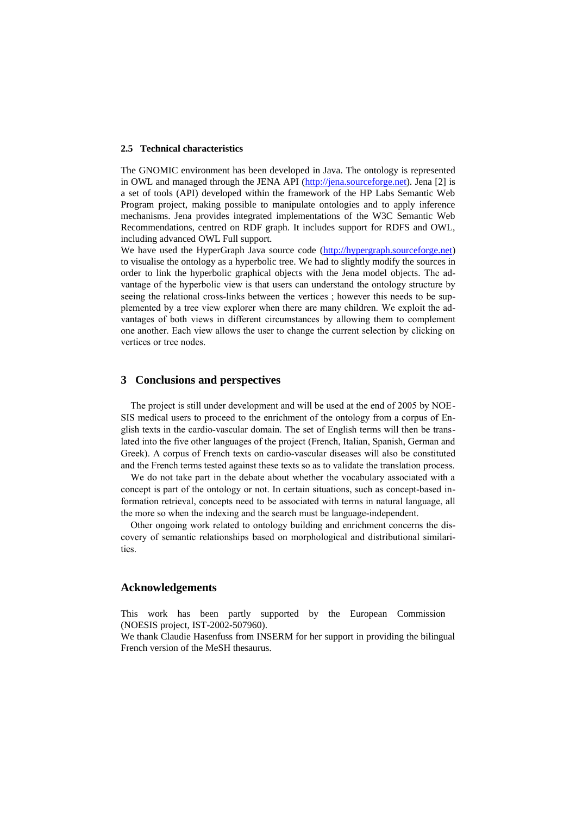#### **2.5 Technical characteristics**

The GNOMIC environment has been developed in Java. The ontology is represented in OWL and managed through the JENA API [\(http://jena.sourceforge.net\)](http://jena.sourceforge.net/). Jena [2] is a set of tools (API) developed within the framework of the HP Labs Semantic Web Program project, making possible to manipulate ontologies and to apply inference mechanisms. Jena provides integrated implementations of the W3C Semantic Web Recommendations, centred on RDF graph. It includes support for RDFS and OWL, including advanced OWL Full support.

We have used the HyperGraph Java source code ([http://hypergraph.sourceforge.net](http://hypergraph.sourceforge.net/)) to visualise the ontology as a hyperbolic tree. We had to slightly modify the sources in order to link the hyperbolic graphical objects with the Jena model objects. The advantage of the hyperbolic view is that users can understand the ontology structure by seeing the relational cross-links between the vertices ; however this needs to be supplemented by a tree view explorer when there are many children. We exploit the advantages of both views in different circumstances by allowing them to complement one another. Each view allows the user to change the current selection by clicking on vertices or tree nodes.

## **3 Conclusions and perspectives**

The project is still under development and will be used at the end of 2005 by NOE-SIS medical users to proceed to the enrichment of the ontology from a corpus of English texts in the cardio-vascular domain. The set of English terms will then be translated into the five other languages of the project (French, Italian, Spanish, German and Greek). A corpus of French texts on cardio-vascular diseases will also be constituted and the French terms tested against these texts so as to validate the translation process.

We do not take part in the debate about whether the vocabulary associated with a concept is part of the ontology or not. In certain situations, such as concept-based information retrieval, concepts need to be associated with terms in natural language, all the more so when the indexing and the search must be language-independent.

Other ongoing work related to ontology building and enrichment concerns the discovery of semantic relationships based on morphological and distributional similarities.

# **Acknowledgements**

This work has been partly supported by the European Commission (NOESIS project, IST-2002-507960).

We thank Claudie Hasenfuss from INSERM for her support in providing the bilingual French version of the MeSH thesaurus.